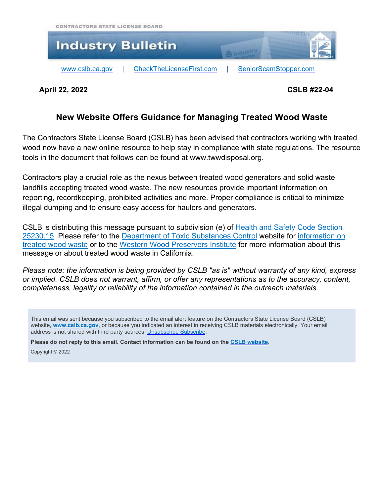



**April 22, 2022 CSLB #22-04**

# **New Website Offers Guidance for Managing Treated Wood Waste**

The Contractors State License Board (CSLB) has been advised that contractors working with treated wood now have a new online resource to help stay in compliance with state regulations. The resource tools in the document that follows can be found at www.twwdisposal.org.

Contractors play a crucial role as the nexus between treated wood generators and solid waste landfills accepting treated wood waste. The new resources provide important information on reporting, recordkeeping, prohibited activities and more. Proper compliance is critical to minimize illegal dumping and to ensure easy access for haulers and generators.

CSLB is distributing this message pursuant to subdivision (e) of Health and Safety Code [Section](https://urldefense.com/v3/__https:/leginfo.legislature.ca.gov/faces/codes_displaySection.xhtml?sectionNum=25230.15.&lawCode=HSC__;!!Em4Sr2I!dEcyuMupmAr_wJWe5wiWleE8UbNb5yyuj3gZaI6mR6g5YKtkLC1_6FV1zwxLADTMI2AeKw$) [25230.15.](https://urldefense.com/v3/__https:/leginfo.legislature.ca.gov/faces/codes_displaySection.xhtml?sectionNum=25230.15.&lawCode=HSC__;!!Em4Sr2I!dEcyuMupmAr_wJWe5wiWleE8UbNb5yyuj3gZaI6mR6g5YKtkLC1_6FV1zwxLADTMI2AeKw$) Please refer to the Department of Toxic [Substances](https://urldefense.com/v3/__https:/dtsc.ca.gov/__;!!Em4Sr2I!dEcyuMupmAr_wJWe5wiWleE8UbNb5yyuj3gZaI6mR6g5YKtkLC1_6FV1zwxLADQRFIBwVg$) Control website for [information](https://dtsc.ca.gov/toxics-in-products/treated-wood-waste/) on [treated](https://dtsc.ca.gov/toxics-in-products/treated-wood-waste/) wood waste or to the Western Wood [Preservers](https://urldefense.com/v3/__https:/preservedwood.org/__;!!Em4Sr2I!dEcyuMupmAr_wJWe5wiWleE8UbNb5yyuj3gZaI6mR6g5YKtkLC1_6FV1zwxLADQfcmFooA$) Institute for more information about this message or about treated wood waste in California.

*Please note: the information is being provided by CSLB "as is" without warranty of any kind, express or implied. CSLB does not warrant, affirm, or offer any representations as to the accuracy, content, completeness, legality or reliability of the information contained in the outreach materials.*

This email was sent because you subscribed to the email alert feature on the Contractors State License Board (CSLB) website, **[www.cslb.ca.gov](http://www.cslb.ca.gov/)**, or because you indicated an interest in receiving CSLB materials electronically. Your email address is not shared with third party sources. [Unsubscribe](https://www2.cslb.ca.gov/OnlineServices/MailList/unsubscribe.aspx) Subscribe.

**Please do not reply to this email. Contact information can be found on the CSLB [website.](http://www.cslb.ca.gov/About_Us/Contact_CSLB.aspx)**

Copyright © 2022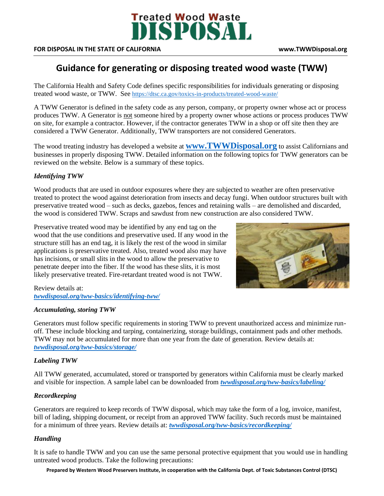

#### **FOR DISPOSAL IN THE STATE OF CALIFORNIA www.TWWDisposal.org**

# **Guidance for generating or disposing treated wood waste (TWW)**

The California Health and Safety Code defines specific responsibilities for individuals generating or disposing treated wood waste, or TWW. See <https://dtsc.ca.gov/toxics-in-products/treated-wood-waste/>

A TWW Generator is defined in the safety code as any person, company, or property owner whose act or process produces TWW. A Generator is not someone hired by a property owner whose actions or process produces TWW on site, for example a contractor. However, if the contractor generates TWW in a shop or off site then they are considered a TWW Generator. Additionally, TWW transporters are not considered Generators.

The wood treating industry has developed a website at **[www.TWWDisposal.org](http://www.twwdisposal.org/)** to assist Californians and businesses in properly disposing TWW. Detailed information on the following topics for TWW generators can be reviewed on the website. Below is a summary of these topics.

# *Identifying TWW*

Wood products that are used in outdoor exposures where they are subjected to weather are often preservative treated to protect the wood against deterioration from insects and decay fungi. When outdoor structures built with preservative treated wood – such as decks, gazebos, fences and retaining walls – are demolished and discarded, the wood is considered TWW. Scraps and sawdust from new construction are also considered TWW.

Preservative treated wood may be identified by any end tag on the wood that the use conditions and preservative used. If any wood in the structure still has an end tag, it is likely the rest of the wood in similar applications is preservative treated. Also, treated wood also may have has incisions, or small slits in the wood to allow the preservative to penetrate deeper into the fiber. If the wood has these slits, it is most likely preservative treated. Fire-retardant treated wood is not TWW.



#### Review details at: *[twwdisposal.org/tww-basics/identifying-tww/](https://twwdisposal.org/tww-basics/identifying-tww/)*

### *Accumulating, storing TWW*

Generators must follow specific requirements in storing TWW to prevent unauthorized access and minimize runoff. These include blocking and tarping, containerizing, storage buildings, containment pads and other methods. TWW may not be accumulated for more than one year from the date of generation. Review details at: *[twwdisposal.org/tww-basics/storage/](https://twwdisposal.org/tww-basics/storage/)*

# *Labeling TWW*

All TWW generated, accumulated, stored or transported by generators within California must be clearly marked and visible for inspection. A sample label can be downloaded from *[twwdisposal.org/tww-basics/labeling/](https://twwdisposal.org/tww-basics/labeling/)*

### *Recordkeeping*

Generators are required to keep records of TWW disposal, which may take the form of a log, invoice, manifest, bill of lading, shipping document, or receipt from an approved TWW facility. Such records must be maintained for a minimum of three years. Review details at: *[twwdisposal.org/tww-basics/recordkeeping/](https://twwdisposal.org/tww-basics/recordkeeping/)*

### *Handling*

It is safe to handle TWW and you can use the same personal protective equipment that you would use in handling untreated wood products. Take the following precautions:

**Prepared by Western Wood Preservers Institute, in cooperation with the California Dept. of Toxic Substances Control (DTSC)**